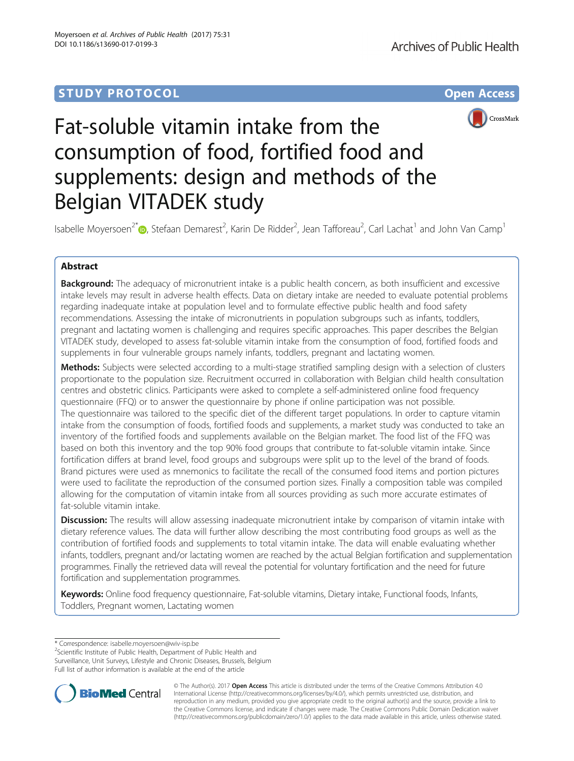## **STUDY PROTOCOL CONSUMING THE CONSUMING OPEN ACCESS**



# Fat-soluble vitamin intake from the consumption of food, fortified food and supplements: design and methods of the Belgian VITADEK study

Isabelle Moyersoen $^{2^*}$  $^{2^*}$  $^{2^*}$ ©, Stefaan Demarest $^2$ , Karin De Ridder $^2$ , Jean Tafforeau $^2$ , Carl Lachat $^1$  and John Van Camp $^1$ 

## Abstract

**Background:** The adequacy of micronutrient intake is a public health concern, as both insufficient and excessive intake levels may result in adverse health effects. Data on dietary intake are needed to evaluate potential problems regarding inadequate intake at population level and to formulate effective public health and food safety recommendations. Assessing the intake of micronutrients in population subgroups such as infants, toddlers, pregnant and lactating women is challenging and requires specific approaches. This paper describes the Belgian VITADEK study, developed to assess fat-soluble vitamin intake from the consumption of food, fortified foods and supplements in four vulnerable groups namely infants, toddlers, pregnant and lactating women.

Methods: Subjects were selected according to a multi-stage stratified sampling design with a selection of clusters proportionate to the population size. Recruitment occurred in collaboration with Belgian child health consultation centres and obstetric clinics. Participants were asked to complete a self-administered online food frequency questionnaire (FFQ) or to answer the questionnaire by phone if online participation was not possible. The questionnaire was tailored to the specific diet of the different target populations. In order to capture vitamin intake from the consumption of foods, fortified foods and supplements, a market study was conducted to take an inventory of the fortified foods and supplements available on the Belgian market. The food list of the FFQ was based on both this inventory and the top 90% food groups that contribute to fat-soluble vitamin intake. Since fortification differs at brand level, food groups and subgroups were split up to the level of the brand of foods. Brand pictures were used as mnemonics to facilitate the recall of the consumed food items and portion pictures were used to facilitate the reproduction of the consumed portion sizes. Finally a composition table was compiled allowing for the computation of vitamin intake from all sources providing as such more accurate estimates of fat-soluble vitamin intake.

**Discussion:** The results will allow assessing inadequate micronutrient intake by comparison of vitamin intake with dietary reference values. The data will further allow describing the most contributing food groups as well as the contribution of fortified foods and supplements to total vitamin intake. The data will enable evaluating whether infants, toddlers, pregnant and/or lactating women are reached by the actual Belgian fortification and supplementation programmes. Finally the retrieved data will reveal the potential for voluntary fortification and the need for future fortification and supplementation programmes.

Keywords: Online food frequency questionnaire, Fat-soluble vitamins, Dietary intake, Functional foods, Infants, Toddlers, Pregnant women, Lactating women

\* Correspondence: [isabelle.moyersoen@wiv-isp.be](mailto:isabelle.moyersoen@wiv-isp.be) <sup>2</sup>

 $2$ Scientific Institute of Public Health, Department of Public Health and Surveillance, Unit Surveys, Lifestyle and Chronic Diseases, Brussels, Belgium Full list of author information is available at the end of the article



© The Author(s). 2017 **Open Access** This article is distributed under the terms of the Creative Commons Attribution 4.0 International License [\(http://creativecommons.org/licenses/by/4.0/](http://creativecommons.org/licenses/by/4.0/)), which permits unrestricted use, distribution, and reproduction in any medium, provided you give appropriate credit to the original author(s) and the source, provide a link to the Creative Commons license, and indicate if changes were made. The Creative Commons Public Domain Dedication waiver [\(http://creativecommons.org/publicdomain/zero/1.0/](http://creativecommons.org/publicdomain/zero/1.0/)) applies to the data made available in this article, unless otherwise stated.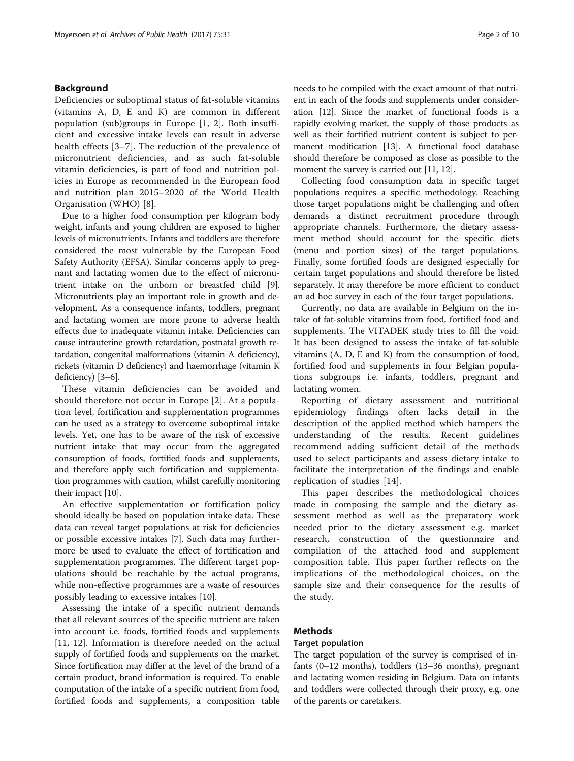## Background

Deficiencies or suboptimal status of fat-soluble vitamins (vitamins A, D, E and K) are common in different population (sub)groups in Europe [[1](#page-9-0), [2\]](#page-9-0). Both insufficient and excessive intake levels can result in adverse health effects [[3](#page-9-0)–[7\]](#page-9-0). The reduction of the prevalence of micronutrient deficiencies, and as such fat-soluble vitamin deficiencies, is part of food and nutrition policies in Europe as recommended in the European food and nutrition plan 2015–2020 of the World Health Organisation (WHO) [[8\]](#page-9-0).

Due to a higher food consumption per kilogram body weight, infants and young children are exposed to higher levels of micronutrients. Infants and toddlers are therefore considered the most vulnerable by the European Food Safety Authority (EFSA). Similar concerns apply to pregnant and lactating women due to the effect of micronutrient intake on the unborn or breastfed child [[9](#page-9-0)]. Micronutrients play an important role in growth and development. As a consequence infants, toddlers, pregnant and lactating women are more prone to adverse health effects due to inadequate vitamin intake. Deficiencies can cause intrauterine growth retardation, postnatal growth retardation, congenital malformations (vitamin A deficiency), rickets (vitamin D deficiency) and haemorrhage (vitamin K deficiency) [\[3](#page-9-0)–[6](#page-9-0)].

These vitamin deficiencies can be avoided and should therefore not occur in Europe [[2\]](#page-9-0). At a population level, fortification and supplementation programmes can be used as a strategy to overcome suboptimal intake levels. Yet, one has to be aware of the risk of excessive nutrient intake that may occur from the aggregated consumption of foods, fortified foods and supplements, and therefore apply such fortification and supplementation programmes with caution, whilst carefully monitoring their impact [\[10\]](#page-9-0).

An effective supplementation or fortification policy should ideally be based on population intake data. These data can reveal target populations at risk for deficiencies or possible excessive intakes [[7](#page-9-0)]. Such data may furthermore be used to evaluate the effect of fortification and supplementation programmes. The different target populations should be reachable by the actual programs, while non-effective programmes are a waste of resources possibly leading to excessive intakes [\[10\]](#page-9-0).

Assessing the intake of a specific nutrient demands that all relevant sources of the specific nutrient are taken into account i.e. foods, fortified foods and supplements [[11, 12\]](#page-9-0). Information is therefore needed on the actual supply of fortified foods and supplements on the market. Since fortification may differ at the level of the brand of a certain product, brand information is required. To enable computation of the intake of a specific nutrient from food, fortified foods and supplements, a composition table needs to be compiled with the exact amount of that nutrient in each of the foods and supplements under consideration [\[12\]](#page-9-0). Since the market of functional foods is a rapidly evolving market, the supply of those products as well as their fortified nutrient content is subject to permanent modification [[13](#page-9-0)]. A functional food database should therefore be composed as close as possible to the moment the survey is carried out [\[11, 12](#page-9-0)].

Collecting food consumption data in specific target populations requires a specific methodology. Reaching those target populations might be challenging and often demands a distinct recruitment procedure through appropriate channels. Furthermore, the dietary assessment method should account for the specific diets (menu and portion sizes) of the target populations. Finally, some fortified foods are designed especially for certain target populations and should therefore be listed separately. It may therefore be more efficient to conduct an ad hoc survey in each of the four target populations.

Currently, no data are available in Belgium on the intake of fat-soluble vitamins from food, fortified food and supplements. The VITADEK study tries to fill the void. It has been designed to assess the intake of fat-soluble vitamins (A, D, E and K) from the consumption of food, fortified food and supplements in four Belgian populations subgroups i.e. infants, toddlers, pregnant and lactating women.

Reporting of dietary assessment and nutritional epidemiology findings often lacks detail in the description of the applied method which hampers the understanding of the results. Recent guidelines recommend adding sufficient detail of the methods used to select participants and assess dietary intake to facilitate the interpretation of the findings and enable replication of studies [\[14](#page-9-0)].

This paper describes the methodological choices made in composing the sample and the dietary assessment method as well as the preparatory work needed prior to the dietary assessment e.g. market research, construction of the questionnaire and compilation of the attached food and supplement composition table. This paper further reflects on the implications of the methodological choices, on the sample size and their consequence for the results of the study.

## Methods

## Target population

The target population of the survey is comprised of infants (0–12 months), toddlers (13–36 months), pregnant and lactating women residing in Belgium. Data on infants and toddlers were collected through their proxy, e.g. one of the parents or caretakers.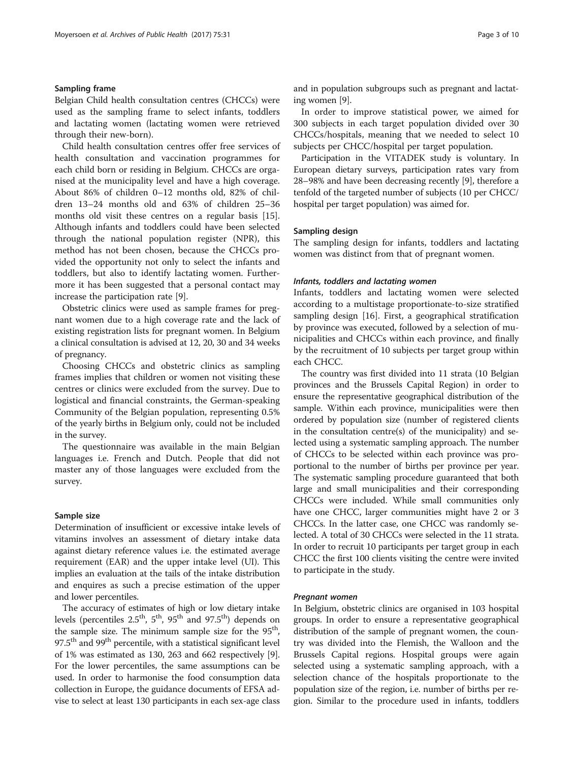## Sampling frame

Belgian Child health consultation centres (CHCCs) were used as the sampling frame to select infants, toddlers and lactating women (lactating women were retrieved through their new-born).

Child health consultation centres offer free services of health consultation and vaccination programmes for each child born or residing in Belgium. CHCCs are organised at the municipality level and have a high coverage. About 86% of children 0–12 months old, 82% of children 13–24 months old and 63% of children 25–36 months old visit these centres on a regular basis [\[15](#page-9-0)]. Although infants and toddlers could have been selected through the national population register (NPR), this method has not been chosen, because the CHCCs provided the opportunity not only to select the infants and toddlers, but also to identify lactating women. Furthermore it has been suggested that a personal contact may increase the participation rate [\[9](#page-9-0)].

Obstetric clinics were used as sample frames for pregnant women due to a high coverage rate and the lack of existing registration lists for pregnant women. In Belgium a clinical consultation is advised at 12, 20, 30 and 34 weeks of pregnancy.

Choosing CHCCs and obstetric clinics as sampling frames implies that children or women not visiting these centres or clinics were excluded from the survey. Due to logistical and financial constraints, the German-speaking Community of the Belgian population, representing 0.5% of the yearly births in Belgium only, could not be included in the survey.

The questionnaire was available in the main Belgian languages i.e. French and Dutch. People that did not master any of those languages were excluded from the survey.

## Sample size

Determination of insufficient or excessive intake levels of vitamins involves an assessment of dietary intake data against dietary reference values i.e. the estimated average requirement (EAR) and the upper intake level (UI). This implies an evaluation at the tails of the intake distribution and enquires as such a precise estimation of the upper and lower percentiles.

The accuracy of estimates of high or low dietary intake levels (percentiles  $2.5^{\text{th}}$ ,  $5^{\text{th}}$ ,  $95^{\text{th}}$  and  $97.5^{\text{th}}$ ) depends on the sample size. The minimum sample size for the  $95<sup>th</sup>$ ,  $97.5<sup>th</sup>$  and  $99<sup>th</sup>$  percentile, with a statistical significant level of 1% was estimated as 130, 263 and 662 respectively [[9](#page-9-0)]. For the lower percentiles, the same assumptions can be used. In order to harmonise the food consumption data collection in Europe, the guidance documents of EFSA advise to select at least 130 participants in each sex-age class and in population subgroups such as pregnant and lactating women [\[9\]](#page-9-0).

In order to improve statistical power, we aimed for 300 subjects in each target population divided over 30 CHCCs/hospitals, meaning that we needed to select 10 subjects per CHCC/hospital per target population.

Participation in the VITADEK study is voluntary. In European dietary surveys, participation rates vary from 28–98% and have been decreasing recently [\[9](#page-9-0)], therefore a tenfold of the targeted number of subjects (10 per CHCC/ hospital per target population) was aimed for.

## Sampling design

The sampling design for infants, toddlers and lactating women was distinct from that of pregnant women.

## Infants, toddlers and lactating women

Infants, toddlers and lactating women were selected according to a multistage proportionate-to-size stratified sampling design [\[16\]](#page-9-0). First, a geographical stratification by province was executed, followed by a selection of municipalities and CHCCs within each province, and finally by the recruitment of 10 subjects per target group within each CHCC.

The country was first divided into 11 strata (10 Belgian provinces and the Brussels Capital Region) in order to ensure the representative geographical distribution of the sample. Within each province, municipalities were then ordered by population size (number of registered clients in the consultation centre(s) of the municipality) and selected using a systematic sampling approach. The number of CHCCs to be selected within each province was proportional to the number of births per province per year. The systematic sampling procedure guaranteed that both large and small municipalities and their corresponding CHCCs were included. While small communities only have one CHCC, larger communities might have 2 or 3 CHCCs. In the latter case, one CHCC was randomly selected. A total of 30 CHCCs were selected in the 11 strata. In order to recruit 10 participants per target group in each CHCC the first 100 clients visiting the centre were invited to participate in the study.

## Pregnant women

In Belgium, obstetric clinics are organised in 103 hospital groups. In order to ensure a representative geographical distribution of the sample of pregnant women, the country was divided into the Flemish, the Walloon and the Brussels Capital regions. Hospital groups were again selected using a systematic sampling approach, with a selection chance of the hospitals proportionate to the population size of the region, i.e. number of births per region. Similar to the procedure used in infants, toddlers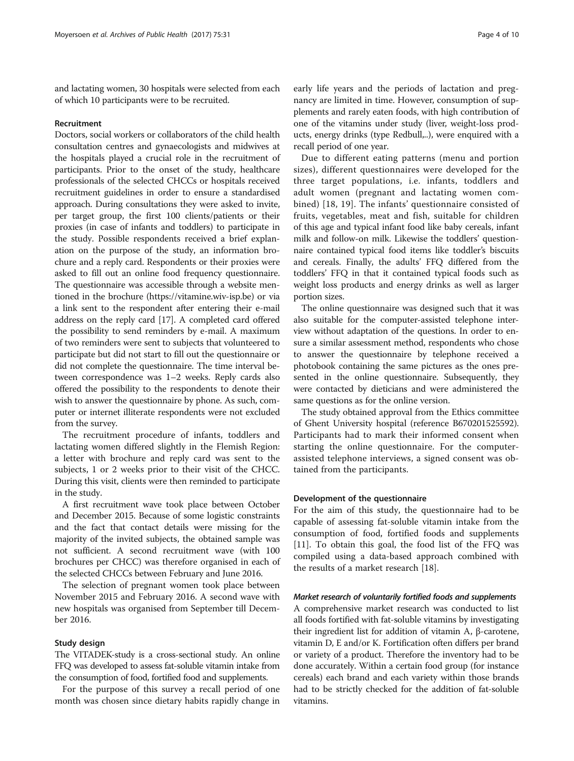and lactating women, 30 hospitals were selected from each of which 10 participants were to be recruited.

#### Recruitment

Doctors, social workers or collaborators of the child health consultation centres and gynaecologists and midwives at the hospitals played a crucial role in the recruitment of participants. Prior to the onset of the study, healthcare professionals of the selected CHCCs or hospitals received recruitment guidelines in order to ensure a standardised approach. During consultations they were asked to invite, per target group, the first 100 clients/patients or their proxies (in case of infants and toddlers) to participate in the study. Possible respondents received a brief explanation on the purpose of the study, an information brochure and a reply card. Respondents or their proxies were asked to fill out an online food frequency questionnaire. The questionnaire was accessible through a website mentioned in the brochure [\(https://vitamine.wiv-isp.be\)](https://vitamine.wiv-isp.be/) or via a link sent to the respondent after entering their e-mail address on the reply card [[17](#page-9-0)]. A completed card offered the possibility to send reminders by e-mail. A maximum of two reminders were sent to subjects that volunteered to participate but did not start to fill out the questionnaire or did not complete the questionnaire. The time interval between correspondence was 1–2 weeks. Reply cards also offered the possibility to the respondents to denote their wish to answer the questionnaire by phone. As such, computer or internet illiterate respondents were not excluded from the survey.

The recruitment procedure of infants, toddlers and lactating women differed slightly in the Flemish Region: a letter with brochure and reply card was sent to the subjects, 1 or 2 weeks prior to their visit of the CHCC. During this visit, clients were then reminded to participate in the study.

A first recruitment wave took place between October and December 2015. Because of some logistic constraints and the fact that contact details were missing for the majority of the invited subjects, the obtained sample was not sufficient. A second recruitment wave (with 100 brochures per CHCC) was therefore organised in each of the selected CHCCs between February and June 2016.

The selection of pregnant women took place between November 2015 and February 2016. A second wave with new hospitals was organised from September till December 2016.

## Study design

The VITADEK-study is a cross-sectional study. An online FFQ was developed to assess fat-soluble vitamin intake from the consumption of food, fortified food and supplements.

For the purpose of this survey a recall period of one month was chosen since dietary habits rapidly change in

early life years and the periods of lactation and pregnancy are limited in time. However, consumption of supplements and rarely eaten foods, with high contribution of one of the vitamins under study (liver, weight-loss products, energy drinks (type Redbull,..), were enquired with a recall period of one year.

Due to different eating patterns (menu and portion sizes), different questionnaires were developed for the three target populations, i.e. infants, toddlers and adult women (pregnant and lactating women combined) [[18](#page-9-0), [19\]](#page-9-0). The infants' questionnaire consisted of fruits, vegetables, meat and fish, suitable for children of this age and typical infant food like baby cereals, infant milk and follow-on milk. Likewise the toddlers' questionnaire contained typical food items like toddler's biscuits and cereals. Finally, the adults' FFQ differed from the toddlers' FFQ in that it contained typical foods such as weight loss products and energy drinks as well as larger portion sizes.

The online questionnaire was designed such that it was also suitable for the computer-assisted telephone interview without adaptation of the questions. In order to ensure a similar assessment method, respondents who chose to answer the questionnaire by telephone received a photobook containing the same pictures as the ones presented in the online questionnaire. Subsequently, they were contacted by dieticians and were administered the same questions as for the online version.

The study obtained approval from the Ethics committee of Ghent University hospital (reference B670201525592). Participants had to mark their informed consent when starting the online questionnaire. For the computerassisted telephone interviews, a signed consent was obtained from the participants.

## Development of the questionnaire

For the aim of this study, the questionnaire had to be capable of assessing fat-soluble vitamin intake from the consumption of food, fortified foods and supplements [[11\]](#page-9-0). To obtain this goal, the food list of the FFQ was compiled using a data-based approach combined with the results of a market research [\[18](#page-9-0)].

## Market research of voluntarily fortified foods and supplements

A comprehensive market research was conducted to list all foods fortified with fat-soluble vitamins by investigating their ingredient list for addition of vitamin A, β-carotene, vitamin D, E and/or K. Fortification often differs per brand or variety of a product. Therefore the inventory had to be done accurately. Within a certain food group (for instance cereals) each brand and each variety within those brands had to be strictly checked for the addition of fat-soluble vitamins.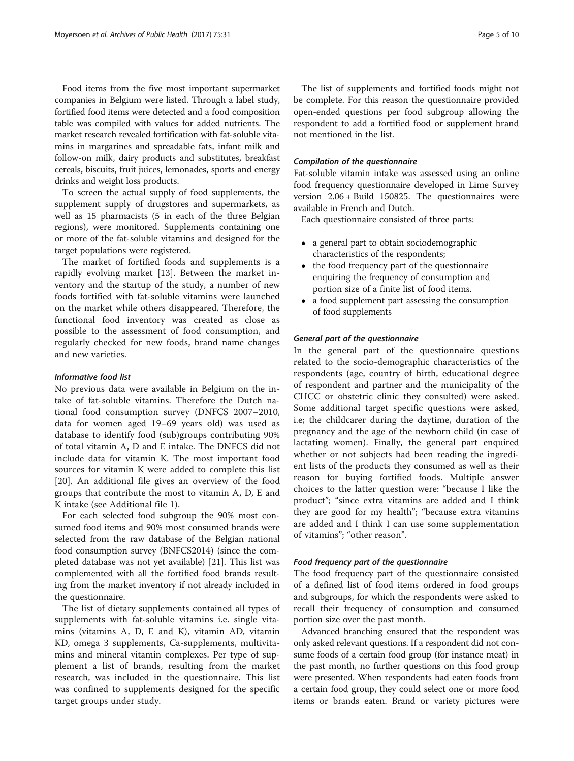Food items from the five most important supermarket companies in Belgium were listed. Through a label study, fortified food items were detected and a food composition table was compiled with values for added nutrients. The market research revealed fortification with fat-soluble vitamins in margarines and spreadable fats, infant milk and follow-on milk, dairy products and substitutes, breakfast cereals, biscuits, fruit juices, lemonades, sports and energy drinks and weight loss products.

To screen the actual supply of food supplements, the supplement supply of drugstores and supermarkets, as well as 15 pharmacists (5 in each of the three Belgian regions), were monitored. Supplements containing one or more of the fat-soluble vitamins and designed for the target populations were registered.

The market of fortified foods and supplements is a rapidly evolving market [[13\]](#page-9-0). Between the market inventory and the startup of the study, a number of new foods fortified with fat-soluble vitamins were launched on the market while others disappeared. Therefore, the functional food inventory was created as close as possible to the assessment of food consumption, and regularly checked for new foods, brand name changes and new varieties.

## Informative food list

No previous data were available in Belgium on the intake of fat-soluble vitamins. Therefore the Dutch national food consumption survey (DNFCS 2007–2010, data for women aged 19–69 years old) was used as database to identify food (sub)groups contributing 90% of total vitamin A, D and E intake. The DNFCS did not include data for vitamin K. The most important food sources for vitamin K were added to complete this list [[20\]](#page-9-0). An additional file gives an overview of the food groups that contribute the most to vitamin A, D, E and K intake (see Additional file [1](#page-8-0)).

For each selected food subgroup the 90% most consumed food items and 90% most consumed brands were selected from the raw database of the Belgian national food consumption survey (BNFCS2014) (since the completed database was not yet available) [[21](#page-9-0)]. This list was complemented with all the fortified food brands resulting from the market inventory if not already included in the questionnaire.

The list of dietary supplements contained all types of supplements with fat-soluble vitamins i.e. single vitamins (vitamins A, D, E and K), vitamin AD, vitamin KD, omega 3 supplements, Ca-supplements, multivitamins and mineral vitamin complexes. Per type of supplement a list of brands, resulting from the market research, was included in the questionnaire. This list was confined to supplements designed for the specific target groups under study.

The list of supplements and fortified foods might not be complete. For this reason the questionnaire provided open-ended questions per food subgroup allowing the respondent to add a fortified food or supplement brand not mentioned in the list.

## Compilation of the questionnaire

Fat-soluble vitamin intake was assessed using an online food frequency questionnaire developed in Lime Survey version 2.06 + Build 150825. The questionnaires were available in French and Dutch.

Each questionnaire consisted of three parts:

- a general part to obtain sociodemographic characteristics of the respondents;
- the food frequency part of the questionnaire enquiring the frequency of consumption and portion size of a finite list of food items.
- a food supplement part assessing the consumption of food supplements

## General part of the questionnaire

In the general part of the questionnaire questions related to the socio-demographic characteristics of the respondents (age, country of birth, educational degree of respondent and partner and the municipality of the CHCC or obstetric clinic they consulted) were asked. Some additional target specific questions were asked, i.e; the childcarer during the daytime, duration of the pregnancy and the age of the newborn child (in case of lactating women). Finally, the general part enquired whether or not subjects had been reading the ingredient lists of the products they consumed as well as their reason for buying fortified foods. Multiple answer choices to the latter question were: "because I like the product"; "since extra vitamins are added and I think they are good for my health"; "because extra vitamins are added and I think I can use some supplementation of vitamins"; "other reason".

## Food frequency part of the questionnaire

The food frequency part of the questionnaire consisted of a defined list of food items ordered in food groups and subgroups, for which the respondents were asked to recall their frequency of consumption and consumed portion size over the past month.

Advanced branching ensured that the respondent was only asked relevant questions. If a respondent did not consume foods of a certain food group (for instance meat) in the past month, no further questions on this food group were presented. When respondents had eaten foods from a certain food group, they could select one or more food items or brands eaten. Brand or variety pictures were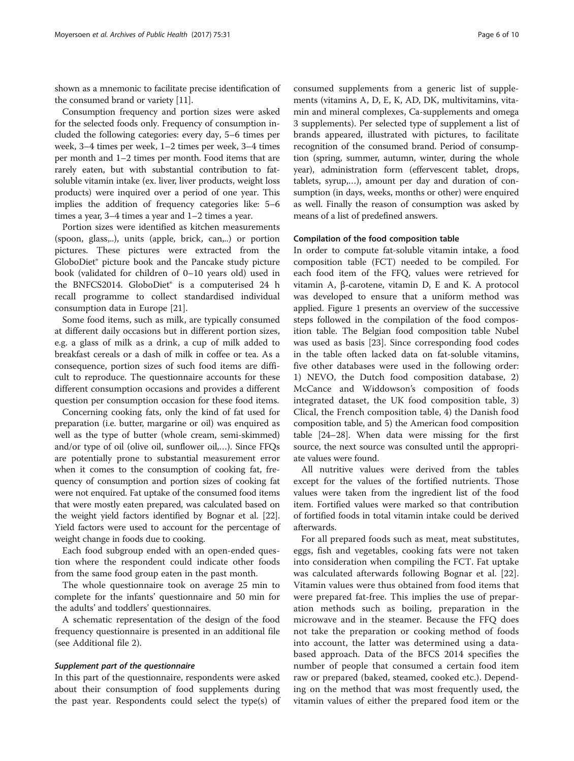shown as a mnemonic to facilitate precise identification of the consumed brand or variety [[11](#page-9-0)].

Consumption frequency and portion sizes were asked for the selected foods only. Frequency of consumption included the following categories: every day, 5–6 times per week, 3–4 times per week, 1–2 times per week, 3–4 times per month and 1–2 times per month. Food items that are rarely eaten, but with substantial contribution to fatsoluble vitamin intake (ex. liver, liver products, weight loss products) were inquired over a period of one year. This implies the addition of frequency categories like: 5–6 times a year, 3–4 times a year and 1–2 times a year.

Portion sizes were identified as kitchen measurements (spoon, glass,..), units (apple, brick, can,..) or portion pictures. These pictures were extracted from the GloboDiet® picture book and the Pancake study picture book (validated for children of 0–10 years old) used in the BNFCS2014. GloboDiet® is a computerised 24 h recall programme to collect standardised individual consumption data in Europe [[21\]](#page-9-0).

Some food items, such as milk, are typically consumed at different daily occasions but in different portion sizes, e.g. a glass of milk as a drink, a cup of milk added to breakfast cereals or a dash of milk in coffee or tea. As a consequence, portion sizes of such food items are difficult to reproduce. The questionnaire accounts for these different consumption occasions and provides a different question per consumption occasion for these food items.

Concerning cooking fats, only the kind of fat used for preparation (i.e. butter, margarine or oil) was enquired as well as the type of butter (whole cream, semi-skimmed) and/or type of oil (olive oil, sunflower oil,…). Since FFQs are potentially prone to substantial measurement error when it comes to the consumption of cooking fat, frequency of consumption and portion sizes of cooking fat were not enquired. Fat uptake of the consumed food items that were mostly eaten prepared, was calculated based on the weight yield factors identified by Bognar et al. [[22](#page-9-0)]. Yield factors were used to account for the percentage of weight change in foods due to cooking.

Each food subgroup ended with an open-ended question where the respondent could indicate other foods from the same food group eaten in the past month.

The whole questionnaire took on average 25 min to complete for the infants' questionnaire and 50 min for the adults' and toddlers' questionnaires.

A schematic representation of the design of the food frequency questionnaire is presented in an additional file (see Additional file [2\)](#page-8-0).

## Supplement part of the questionnaire

In this part of the questionnaire, respondents were asked about their consumption of food supplements during the past year. Respondents could select the type(s) of

consumed supplements from a generic list of supplements (vitamins A, D, E, K, AD, DK, multivitamins, vitamin and mineral complexes, Ca-supplements and omega 3 supplements). Per selected type of supplement a list of brands appeared, illustrated with pictures, to facilitate recognition of the consumed brand. Period of consumption (spring, summer, autumn, winter, during the whole year), administration form (effervescent tablet, drops, tablets, syrup,…), amount per day and duration of consumption (in days, weeks, months or other) were enquired as well. Finally the reason of consumption was asked by means of a list of predefined answers.

## Compilation of the food composition table

In order to compute fat-soluble vitamin intake, a food composition table (FCT) needed to be compiled. For each food item of the FFQ, values were retrieved for vitamin A, β-carotene, vitamin D, E and K. A protocol was developed to ensure that a uniform method was applied. Figure [1](#page-6-0) presents an overview of the successive steps followed in the compilation of the food composition table. The Belgian food composition table Nubel was used as basis [[23](#page-9-0)]. Since corresponding food codes in the table often lacked data on fat-soluble vitamins, five other databases were used in the following order: 1) NEVO, the Dutch food composition database, 2) McCance and Widdowson's composition of foods integrated dataset, the UK food composition table, 3) Clical, the French composition table, 4) the Danish food composition table, and 5) the American food composition table [\[24](#page-9-0)–[28](#page-9-0)]. When data were missing for the first source, the next source was consulted until the appropriate values were found.

All nutritive values were derived from the tables except for the values of the fortified nutrients. Those values were taken from the ingredient list of the food item. Fortified values were marked so that contribution of fortified foods in total vitamin intake could be derived afterwards.

For all prepared foods such as meat, meat substitutes, eggs, fish and vegetables, cooking fats were not taken into consideration when compiling the FCT. Fat uptake was calculated afterwards following Bognar et al. [\[22](#page-9-0)]. Vitamin values were thus obtained from food items that were prepared fat-free. This implies the use of preparation methods such as boiling, preparation in the microwave and in the steamer. Because the FFQ does not take the preparation or cooking method of foods into account, the latter was determined using a databased approach. Data of the BFCS 2014 specifies the number of people that consumed a certain food item raw or prepared (baked, steamed, cooked etc.). Depending on the method that was most frequently used, the vitamin values of either the prepared food item or the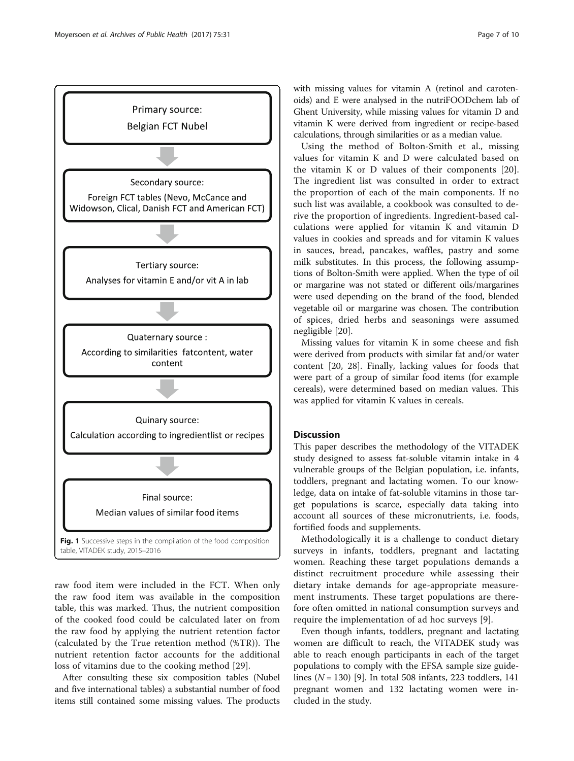<span id="page-6-0"></span>

raw food item were included in the FCT. When only the raw food item was available in the composition table, this was marked. Thus, the nutrient composition of the cooked food could be calculated later on from the raw food by applying the nutrient retention factor (calculated by the True retention method (%TR)). The nutrient retention factor accounts for the additional loss of vitamins due to the cooking method [[29](#page-9-0)].

After consulting these six composition tables (Nubel and five international tables) a substantial number of food items still contained some missing values. The products

with missing values for vitamin A (retinol and carotenoids) and E were analysed in the nutriFOODchem lab of Ghent University, while missing values for vitamin D and vitamin K were derived from ingredient or recipe-based calculations, through similarities or as a median value.

Using the method of Bolton-Smith et al., missing values for vitamin K and D were calculated based on the vitamin K or D values of their components [\[20](#page-9-0)]. The ingredient list was consulted in order to extract the proportion of each of the main components. If no such list was available, a cookbook was consulted to derive the proportion of ingredients. Ingredient-based calculations were applied for vitamin K and vitamin D values in cookies and spreads and for vitamin K values in sauces, bread, pancakes, waffles, pastry and some milk substitutes. In this process, the following assumptions of Bolton-Smith were applied. When the type of oil or margarine was not stated or different oils/margarines were used depending on the brand of the food, blended vegetable oil or margarine was chosen. The contribution of spices, dried herbs and seasonings were assumed negligible [[20\]](#page-9-0).

Missing values for vitamin K in some cheese and fish were derived from products with similar fat and/or water content [[20, 28\]](#page-9-0). Finally, lacking values for foods that were part of a group of similar food items (for example cereals), were determined based on median values. This was applied for vitamin K values in cereals.

## Discussion

This paper describes the methodology of the VITADEK study designed to assess fat-soluble vitamin intake in 4 vulnerable groups of the Belgian population, i.e. infants, toddlers, pregnant and lactating women. To our knowledge, data on intake of fat-soluble vitamins in those target populations is scarce, especially data taking into account all sources of these micronutrients, i.e. foods, fortified foods and supplements.

Methodologically it is a challenge to conduct dietary surveys in infants, toddlers, pregnant and lactating women. Reaching these target populations demands a distinct recruitment procedure while assessing their dietary intake demands for age-appropriate measurement instruments. These target populations are therefore often omitted in national consumption surveys and require the implementation of ad hoc surveys [\[9](#page-9-0)].

Even though infants, toddlers, pregnant and lactating women are difficult to reach, the VITADEK study was able to reach enough participants in each of the target populations to comply with the EFSA sample size guidelines ( $N = 130$ ) [\[9](#page-9-0)]. In total 508 infants, 223 toddlers, 141 pregnant women and 132 lactating women were included in the study.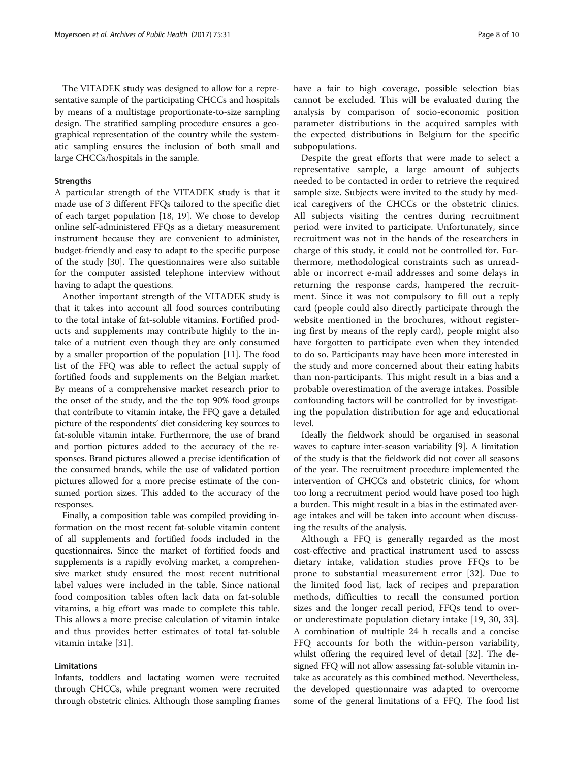The VITADEK study was designed to allow for a representative sample of the participating CHCCs and hospitals by means of a multistage proportionate-to-size sampling design. The stratified sampling procedure ensures a geographical representation of the country while the systematic sampling ensures the inclusion of both small and large CHCCs/hospitals in the sample.

## **Strengths**

A particular strength of the VITADEK study is that it made use of 3 different FFQs tailored to the specific diet of each target population [\[18](#page-9-0), [19\]](#page-9-0). We chose to develop online self-administered FFQs as a dietary measurement instrument because they are convenient to administer, budget-friendly and easy to adapt to the specific purpose of the study [\[30](#page-9-0)]. The questionnaires were also suitable for the computer assisted telephone interview without having to adapt the questions.

Another important strength of the VITADEK study is that it takes into account all food sources contributing to the total intake of fat-soluble vitamins. Fortified products and supplements may contribute highly to the intake of a nutrient even though they are only consumed by a smaller proportion of the population [[11](#page-9-0)]. The food list of the FFQ was able to reflect the actual supply of fortified foods and supplements on the Belgian market. By means of a comprehensive market research prior to the onset of the study, and the the top 90% food groups that contribute to vitamin intake, the FFQ gave a detailed picture of the respondents' diet considering key sources to fat-soluble vitamin intake. Furthermore, the use of brand and portion pictures added to the accuracy of the responses. Brand pictures allowed a precise identification of the consumed brands, while the use of validated portion pictures allowed for a more precise estimate of the consumed portion sizes. This added to the accuracy of the responses.

Finally, a composition table was compiled providing information on the most recent fat-soluble vitamin content of all supplements and fortified foods included in the questionnaires. Since the market of fortified foods and supplements is a rapidly evolving market, a comprehensive market study ensured the most recent nutritional label values were included in the table. Since national food composition tables often lack data on fat-soluble vitamins, a big effort was made to complete this table. This allows a more precise calculation of vitamin intake and thus provides better estimates of total fat-soluble vitamin intake [[31\]](#page-9-0).

## Limitations

Infants, toddlers and lactating women were recruited through CHCCs, while pregnant women were recruited through obstetric clinics. Although those sampling frames have a fair to high coverage, possible selection bias cannot be excluded. This will be evaluated during the analysis by comparison of socio-economic position parameter distributions in the acquired samples with the expected distributions in Belgium for the specific subpopulations.

Despite the great efforts that were made to select a representative sample, a large amount of subjects needed to be contacted in order to retrieve the required sample size. Subjects were invited to the study by medical caregivers of the CHCCs or the obstetric clinics. All subjects visiting the centres during recruitment period were invited to participate. Unfortunately, since recruitment was not in the hands of the researchers in charge of this study, it could not be controlled for. Furthermore, methodological constraints such as unreadable or incorrect e-mail addresses and some delays in returning the response cards, hampered the recruitment. Since it was not compulsory to fill out a reply card (people could also directly participate through the website mentioned in the brochures, without registering first by means of the reply card), people might also have forgotten to participate even when they intended to do so. Participants may have been more interested in the study and more concerned about their eating habits than non-participants. This might result in a bias and a probable overestimation of the average intakes. Possible confounding factors will be controlled for by investigating the population distribution for age and educational level.

Ideally the fieldwork should be organised in seasonal waves to capture inter-season variability [\[9](#page-9-0)]. A limitation of the study is that the fieldwork did not cover all seasons of the year. The recruitment procedure implemented the intervention of CHCCs and obstetric clinics, for whom too long a recruitment period would have posed too high a burden. This might result in a bias in the estimated average intakes and will be taken into account when discussing the results of the analysis.

Although a FFQ is generally regarded as the most cost-effective and practical instrument used to assess dietary intake, validation studies prove FFQs to be prone to substantial measurement error [[32\]](#page-9-0). Due to the limited food list, lack of recipes and preparation methods, difficulties to recall the consumed portion sizes and the longer recall period, FFQs tend to overor underestimate population dietary intake [[19, 30, 33](#page-9-0)]. A combination of multiple 24 h recalls and a concise FFQ accounts for both the within-person variability, whilst offering the required level of detail [\[32\]](#page-9-0). The designed FFQ will not allow assessing fat-soluble vitamin intake as accurately as this combined method. Nevertheless, the developed questionnaire was adapted to overcome some of the general limitations of a FFQ. The food list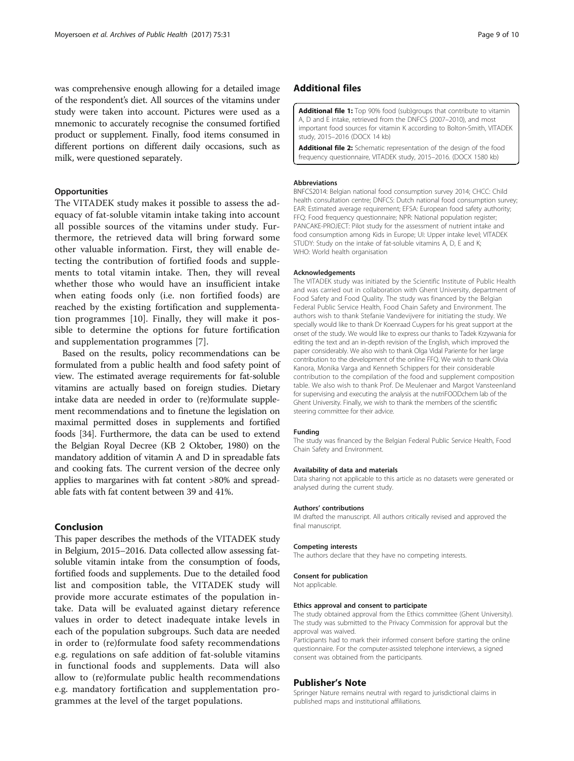<span id="page-8-0"></span>was comprehensive enough allowing for a detailed image of the respondent's diet. All sources of the vitamins under study were taken into account. Pictures were used as a mnemonic to accurately recognise the consumed fortified product or supplement. Finally, food items consumed in different portions on different daily occasions, such as milk, were questioned separately.

## **Opportunities**

The VITADEK study makes it possible to assess the adequacy of fat-soluble vitamin intake taking into account all possible sources of the vitamins under study. Furthermore, the retrieved data will bring forward some other valuable information. First, they will enable detecting the contribution of fortified foods and supplements to total vitamin intake. Then, they will reveal whether those who would have an insufficient intake when eating foods only (i.e. non fortified foods) are reached by the existing fortification and supplementation programmes [\[10](#page-9-0)]. Finally, they will make it possible to determine the options for future fortification and supplementation programmes [[7\]](#page-9-0).

Based on the results, policy recommendations can be formulated from a public health and food safety point of view. The estimated average requirements for fat-soluble vitamins are actually based on foreign studies. Dietary intake data are needed in order to (re)formulate supplement recommendations and to finetune the legislation on maximal permitted doses in supplements and fortified foods [\[34\]](#page-9-0). Furthermore, the data can be used to extend the Belgian Royal Decree (KB 2 Oktober, 1980) on the mandatory addition of vitamin A and D in spreadable fats and cooking fats. The current version of the decree only applies to margarines with fat content >80% and spreadable fats with fat content between 39 and 41%.

## Conclusion

This paper describes the methods of the VITADEK study in Belgium, 2015–2016. Data collected allow assessing fatsoluble vitamin intake from the consumption of foods, fortified foods and supplements. Due to the detailed food list and composition table, the VITADEK study will provide more accurate estimates of the population intake. Data will be evaluated against dietary reference values in order to detect inadequate intake levels in each of the population subgroups. Such data are needed in order to (re)formulate food safety recommendations e.g. regulations on safe addition of fat-soluble vitamins in functional foods and supplements. Data will also allow to (re)formulate public health recommendations e.g. mandatory fortification and supplementation programmes at the level of the target populations.

## Additional files

[Additional file 1:](dx.doi.org/10.1186/s13690-017-0199-3) Top 90% food (sub)groups that contribute to vitamin A, D and E intake, retrieved from the DNFCS (2007–2010), and most important food sources for vitamin K according to Bolton-Smith, VITADEK study, 2015–2016 (DOCX 14 kb)

[Additional file 2:](dx.doi.org/10.1186/s13690-017-0199-3) Schematic representation of the design of the food frequency questionnaire, VITADEK study, 2015–2016. (DOCX 1580 kb)

### Abbreviations

BNFCS2014: Belgian national food consumption survey 2014; CHCC: Child health consultation centre; DNFCS: Dutch national food consumption survey; EAR: Estimated average requirement; EFSA: European food safety authority; FFQ: Food frequency questionnaire; NPR: National population register; PANCAKE-PROJECT: Pilot study for the assessment of nutrient intake and food consumption among Kids in Europe; UI: Upper intake level; VITADEK STUDY: Study on the intake of fat-soluble vitamins A, D, E and K; WHO: World health organisation

#### Acknowledgements

The VITADEK study was initiated by the Scientific Institute of Public Health and was carried out in collaboration with Ghent University, department of Food Safety and Food Quality. The study was financed by the Belgian Federal Public Service Health, Food Chain Safety and Environment. The authors wish to thank Stefanie Vandevijvere for initiating the study. We specially would like to thank Dr Koenraad Cuypers for his great support at the onset of the study. We would like to express our thanks to Tadek Krzywania for editing the text and an in-depth revision of the English, which improved the paper considerably. We also wish to thank Olga Vidal Pariente for her large contribution to the development of the online FFQ. We wish to thank Olivia Kanora, Monika Varga and Kenneth Schippers for their considerable contribution to the compilation of the food and supplement composition table. We also wish to thank Prof. De Meulenaer and Margot Vansteenland for supervising and executing the analysis at the nutriFOODchem lab of the Ghent University. Finally, we wish to thank the members of the scientific steering committee for their advice.

#### Funding

The study was financed by the Belgian Federal Public Service Health, Food Chain Safety and Environment.

#### Availability of data and materials

Data sharing not applicable to this article as no datasets were generated or analysed during the current study.

#### Authors' contributions

IM drafted the manuscript. All authors critically revised and approved the final manuscript.

#### Competing interests

The authors declare that they have no competing interests.

## Consent for publication

Not applicable.

#### Ethics approval and consent to participate

The study obtained approval from the Ethics committee (Ghent University). The study was submitted to the Privacy Commission for approval but the approval was waived.

Participants had to mark their informed consent before starting the online questionnaire. For the computer-assisted telephone interviews, a signed consent was obtained from the participants.

## Publisher's Note

Springer Nature remains neutral with regard to jurisdictional claims in published maps and institutional affiliations.